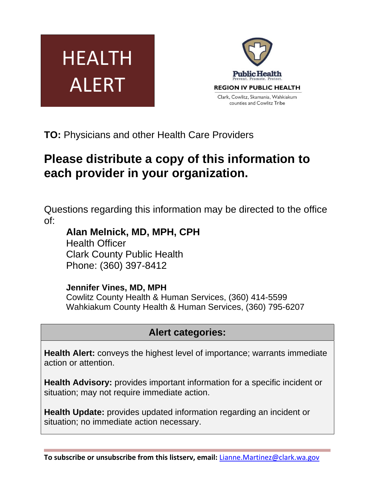



**TO:** Physicians and other Health Care Providers

# **Please distribute a copy of this information to each provider in your organization.**

Questions regarding this information may be directed to the office of:

**Alan Melnick, MD, MPH, CPH**  Health Officer Clark County Public Health Phone: (360) 397-8412

## **Jennifer Vines, MD, MPH**

Cowlitz County Health & Human Services, (360) 414-5599 Wahkiakum County Health & Human Services, (360) 795-6207

## **Alert categories:**

**Health Alert:** conveys the highest level of importance; warrants immediate action or attention.

**Health Advisory:** provides important information for a specific incident or situation; may not require immediate action.

**Health Update:** provides updated information regarding an incident or situation; no immediate action necessary.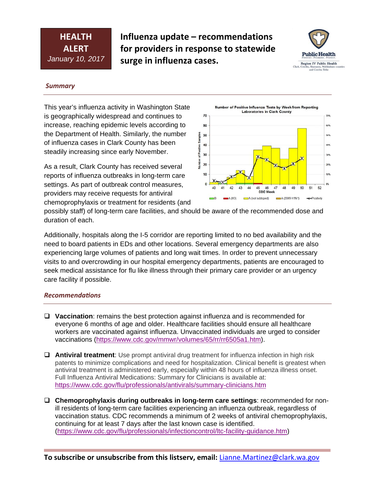## **HEALTH ALERT** *January 10, 2017*

**Influenza update – recommendations for providers in response to statewide surge in influenza cases.**



#### *Summary*

This year's influenza activity in Washington State is geographically widespread and continues to increase, reaching epidemic levels according to the Department of Health. Similarly, the number of influenza cases in Clark County has been steadily increasing since early November.

As a result, Clark County has received several reports of influenza outbreaks in long-term care settings. As part of outbreak control measures, providers may receive requests for antiviral chemoprophylaxis or treatment for residents (and



possibly staff) of long-term care facilities, and should be aware of the recommended dose and duration of each.

Additionally, hospitals along the I-5 corridor are reporting limited to no bed availability and the need to board patients in EDs and other locations. Several emergency departments are also experiencing large volumes of patients and long wait times. In order to prevent unnecessary visits to and overcrowding in our hospital emergency departments, patients are encouraged to seek medical assistance for flu like illness through their primary care provider or an urgency care facility if possible.

#### *RecommendaƟons*

- **Vaccination**: remains the best protection against influenza and is recommended for everyone 6 months of age and older. Healthcare facilities should ensure all healthcare workers are vaccinated against influenza. Unvaccinated individuals are urged to consider vaccinations (https://www.cdc.gov/mmwr/volumes/65/rr/rr6505a1.htm).
- **Antiviral treatment**: Use prompt antiviral drug treatment for influenza infection in high risk patents to minimize complications and need for hospitalization. Clinical benefit is greatest when antiviral treatment is administered early, especially within 48 hours of influenza illness onset. Full Influenza Antiviral Medications: Summary for Clinicians is available at: https://www.cdc.gov/flu/professionals/antivirals/summary-clinicians.htm
- **Chemoprophylaxis during outbreaks in long-term care settings**: recommended for nonill residents of long-term care facilities experiencing an influenza outbreak, regardless of vaccination status. CDC recommends a minimum of 2 weeks of antiviral chemoprophylaxis, continuing for at least 7 days after the last known case is identified. (https://www.cdc.gov/flu/professionals/infectioncontrol/ltc-facility-guidance.htm)